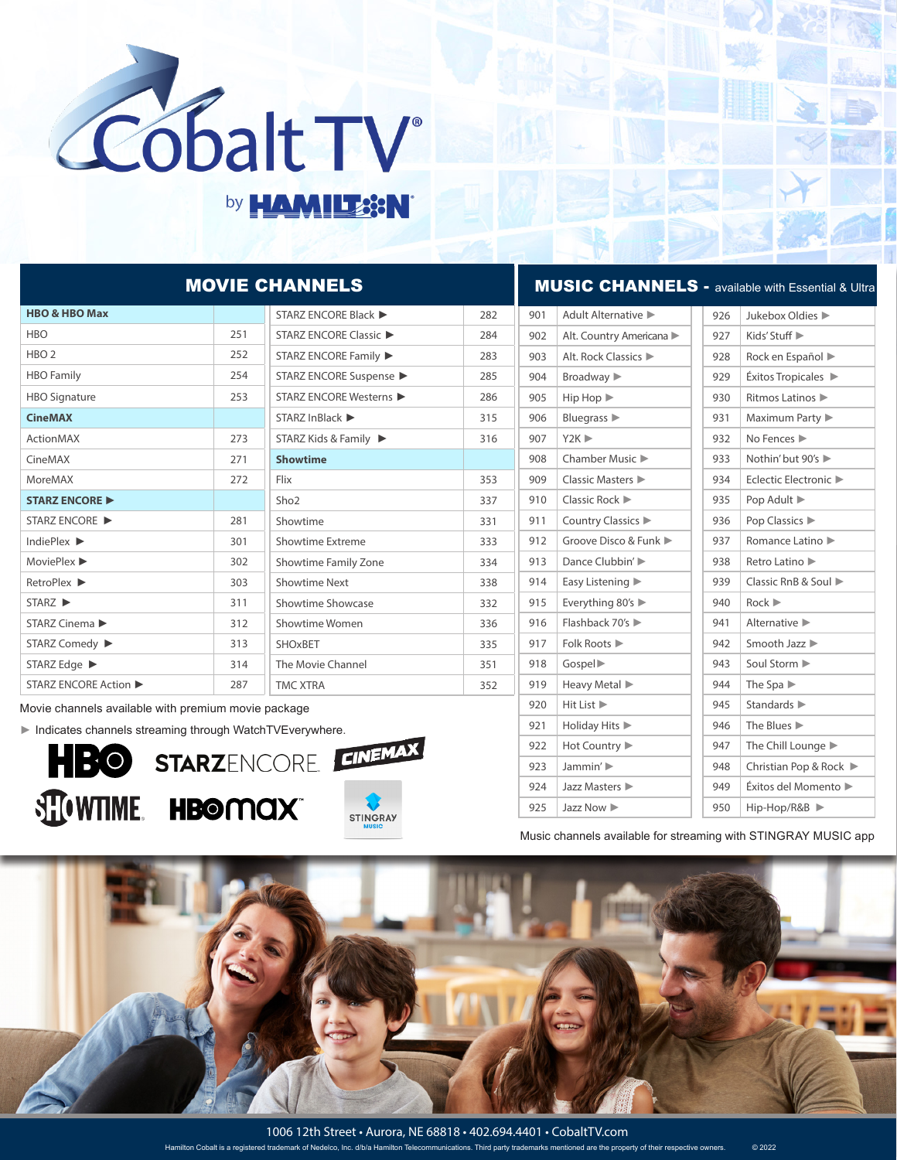

## by **HAMILES:N**

| <b>MOVIE CHANNELS</b>                                                       |     |                               |     | <b>MUSIC CHANNELS - available with Essential &amp; Ultra</b> |                                                   |     |                                           |  |
|-----------------------------------------------------------------------------|-----|-------------------------------|-----|--------------------------------------------------------------|---------------------------------------------------|-----|-------------------------------------------|--|
| <b>HBO &amp; HBO Max</b>                                                    |     | STARZ ENCORE Black ▶          | 282 | 901                                                          | Adult Alternative                                 | 926 | Jukebox Oldies                            |  |
| <b>HBO</b>                                                                  | 251 | <b>STARZ ENCORE Classic ▶</b> | 284 | 902                                                          | Alt. Country Americana                            | 927 | Kids' Stuff ▶                             |  |
| HBO <sub>2</sub>                                                            | 252 | STARZ ENCORE Family ▶         | 283 | 903                                                          | Alt. Rock Classics                                | 928 | Rock en Español                           |  |
| <b>HBO</b> Family                                                           | 254 | STARZ ENCORE Suspense ▶       | 285 | 904                                                          | Broadway >                                        | 929 | $Exitos$ Tropicales $\blacktriangleright$ |  |
| <b>HBO Signature</b>                                                        | 253 | STARZ ENCORE Westerns ▶       | 286 | 905                                                          | $\mathsf{Hip}\,\mathsf{Hop}\,\blacktriangleright$ | 930 | Ritmos Latinos ▶                          |  |
| <b>CineMAX</b>                                                              |     | STARZ InBlack ▶               | 315 | 906                                                          | Bluegrass $\blacktriangleright$                   | 931 | Maximum Party                             |  |
| <b>ActionMAX</b>                                                            | 273 | STARZ Kids & Family ▶         | 316 | 907                                                          | $Y2K \blacktriangleright$                         | 932 | No Fences                                 |  |
| CineMAX                                                                     | 271 | <b>Showtime</b>               |     | 908                                                          | Chamber Music ▶                                   | 933 | Nothin' but 90's ▶                        |  |
| MoreMAX                                                                     | 272 | Flix                          | 353 | 909                                                          | Classic Masters                                   | 934 | Eclectic Electronic                       |  |
| <b>STARZ ENCORE ▶</b>                                                       |     | Sho <sub>2</sub>              | 337 | 910                                                          | Classic Rock $\blacktriangleright$                | 935 | Pop Adult ▶                               |  |
| STARZ ENCORE ▶                                                              | 281 | Showtime                      | 331 | 911                                                          | Country Classics ▶                                | 936 | Pop Classics                              |  |
| IndiePlex ▶                                                                 | 301 | Showtime Extreme              | 333 | 912                                                          | Groove Disco & Funk                               | 937 | Romance Latino ▶                          |  |
| MoviePlex ▶                                                                 | 302 | Showtime Family Zone          | 334 | 913                                                          | Dance Clubbin' ▶                                  | 938 | Retro Latino                              |  |
| RetroPlex ▶                                                                 | 303 | <b>Showtime Next</b>          | 338 | 914                                                          | Easy Listening                                    | 939 | Classic RnB & Soul ▶                      |  |
| STARZ ▶                                                                     | 311 | Showtime Showcase             | 332 | 915                                                          | Everything 80's $\blacktriangleright$             | 940 | Rock                                      |  |
| STARZ Cinema ▶                                                              | 312 | Showtime Women                | 336 | 916                                                          | Flashback 70's ▶                                  | 941 | Alternative $\blacktriangleright$         |  |
| STARZ Comedy ▶                                                              | 313 | SHOxBET                       | 335 | 917                                                          | Folk Roots ▶                                      | 942 | Smooth Jazz ▶                             |  |
| STARZ Edge ▶                                                                | 314 | The Movie Channel             | 351 | 918                                                          | Gospel <sup>&gt;</sup>                            | 943 | Soul Storm                                |  |
| STARZ ENCORE Action ▶                                                       | 287 | <b>TMC XTRA</b>               | 352 | 919                                                          | Heavy Metal                                       | 944 | The Spa $\blacktriangleright$             |  |
| Movie channels available with premium movie package                         |     |                               |     | 920                                                          | Hit List ▶                                        | 945 | Standards >                               |  |
| $\blacktriangleright$ Indicates channels streaming through WatchTVEverwhere |     |                               |     | 921                                                          | Holiday Hits                                      | 946 | The Blues ▶                               |  |

► Indicates channels streaming through WatchTVEverywhere.





Music channels available for streaming with STINGRAY MUSIC app

947 The Chill Lounge 948 | Christian Pop & Rock ► 949 Éxitos del Momento ► 950 Hip-Hop/R&B ►

922 Hot Country ▶ 923 Jammin' ► 924 Jazz Masters ► 925 Jazz Now